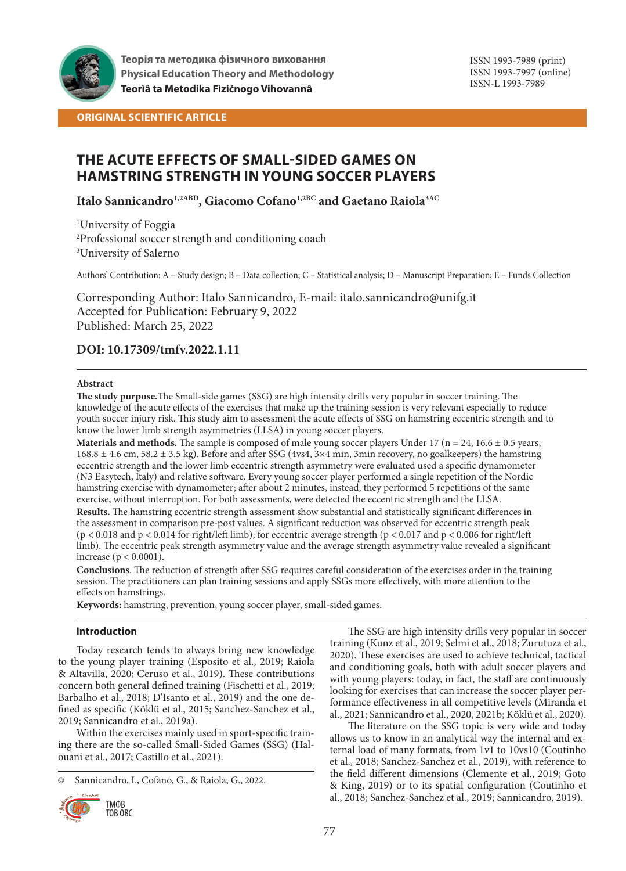

**Теорія та методика фізичного виховання Physical Education Theory and Methodology Teorìâ ta Metodika Fìzičnogo Vihovannâ**

ISSN 1993-7989 (print) ISSN 1993-7997 (online) ISSN-L 1993-7989

**ORIGINAL SCIENTIFIC ARTICLE**

# **THE ACUTE EFFECTS OF SMALL-SIDED GAMES ON HAMSTRING STRENGTH IN YOUNG SOCCER PLAYERS**

**Italo Sannicandro1,2ABD, Giacomo Cofano1,2BC and Gaetano Raiola3AC**

1 University of Foggia 2 Professional soccer strength and conditioning coach 3 University of Salerno

Authors' Contribution: A – Study design; B – Data collection; C – Statistical analysis; D – Manuscript Preparation; E – Funds Collection

Corresponding Author: Italo Sannicandro, E-mail: italo.sannicandro@unifg.it Accepted for Publication: February 9, 2022 Published: March 25, 2022

# **DOI: 10.17309/tmfv.2022.1.11**

# **Abstract**

**The study purpose.**The Small-side games (SSG) are high intensity drills very popular in soccer training. The knowledge of the acute effects of the exercises that make up the training session is very relevant especially to reduce youth soccer injury risk. This study aim to assessment the acute effects of SSG on hamstring eccentric strength and to know the lower limb strength asymmetries (LLSA) in young soccer players.

**Materials and methods.** The sample is composed of male young soccer players Under 17 ( $n = 24$ , 16.6  $\pm$  0.5 years,  $168.8 \pm 4.6$  cm,  $58.2 \pm 3.5$  kg). Before and after SSG (4vs4,  $3\times4$  min, 3min recovery, no goalkeepers) the hamstring eccentric strength and the lower limb eccentric strength asymmetry were evaluated used a specific dynamometer (N3 Easytech, Italy) and relative software. Every young soccer player performed a single repetition of the Nordic hamstring exercise with dynamometer; after about 2 minutes, instead, they performed 5 repetitions of the same exercise, without interruption. For both assessments, were detected the eccentric strength and the LLSA.

**Results.** The hamstring eccentric strength assessment show substantial and statistically significant differences in the assessment in comparison pre-post values. A significant reduction was observed for eccentric strength peak (p < 0.018 and p < 0.014 for right/left limb), for eccentric average strength (p < 0.017 and p < 0.006 for right/left limb). The eccentric peak strength asymmetry value and the average strength asymmetry value revealed a significant increase (p < 0.0001).

**Conclusions**. The reduction of strength after SSG requires careful consideration of the exercises order in the training session. The practitioners can plan training sessions and apply SSGs more effectively, with more attention to the effects on hamstrings.

**Keywords:** hamstring, prevention, young soccer player, small-sided games.

# **Introduction**

Today research tends to always bring new knowledge to the young player training (Esposito et al., 2019; Raiola & Altavilla, 2020; Ceruso et al., 2019). These contributions concern both general defined training (Fischetti et al., 2019; Barbalho et al., 2018; D'Isanto et al., 2019) and the one defined as specific (Köklü et al., 2015; Sanchez-Sanchez et al., 2019; Sannicandro et al., 2019a).

Within the exercises mainly used in sport-specific training there are the so-called Small-Sided Games (SSG) (Halouani et al., 2017; Castillo et al., 2021).

<sup>©</sup> Sannicandro, I., Cofano, G., & Raiola, G., 2022.



ТМФВ ТОВ ОВС

The SSG are high intensity drills very popular in soccer training (Kunz et al., 2019; Selmi et al., 2018; Zurutuza et al., 2020). These exercises are used to achieve technical, tactical and conditioning goals, both with adult soccer players and with young players: today, in fact, the staff are continuously looking for exercises that can increase the soccer player performance effectiveness in all competitive levels (Miranda et al., 2021; Sannicandro et al., 2020, 2021b; Köklü et al., 2020).

The literature on the SSG topic is very wide and today allows us to know in an analytical way the internal and external load of many formats, from 1v1 to 10vs10 (Coutinho et al., 2018; Sanchez-Sanchez et al., 2019), with reference to the field different dimensions (Clemente et al., 2019; Goto & King, 2019) or to its spatial configuration (Coutinho et al., 2018; Sanchez-Sanchez et al., 2019; Sannicandro, 2019).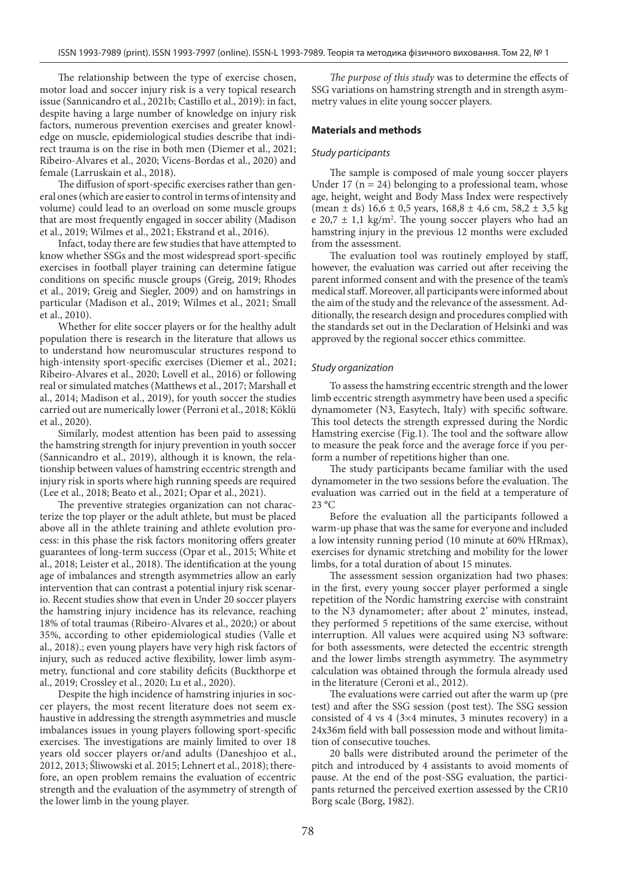The relationship between the type of exercise chosen, motor load and soccer injury risk is a very topical research issue (Sannicandro et al., 2021b; Castillo et al., 2019): in fact, despite having a large number of knowledge on injury risk factors, numerous prevention exercises and greater knowledge on muscle, epidemiological studies describe that indirect trauma is on the rise in both men (Diemer et al., 2021; Ribeiro-Alvares et al., 2020; Vicens-Bordas et al., 2020) and female (Larruskain et al., 2018).

The diffusion of sport-specific exercises rather than general ones (which are easier to control in terms of intensity and volume) could lead to an overload on some muscle groups that are most frequently engaged in soccer ability (Madison et al., 2019; Wilmes et al., 2021; Ekstrand et al., 2016).

Infact, today there are few studies that have attempted to know whether SSGs and the most widespread sport-specific exercises in football player training can determine fatigue conditions on specific muscle groups (Greig, 2019; Rhodes et al., 2019; Greig and Siegler, 2009) and on hamstrings in particular (Madison et al., 2019; Wilmes et al., 2021; Small et al., 2010).

Whether for elite soccer players or for the healthy adult population there is research in the literature that allows us to understand how neuromuscular structures respond to high-intensity sport-specific exercises (Diemer et al., 2021; Ribeiro-Alvares et al., 2020; Lovell et al., 2016) or following real or simulated matches (Matthews et al., 2017; Marshall et al., 2014; Madison et al., 2019), for youth soccer the studies carried out are numerically lower (Perroni et al., 2018; Köklü et al., 2020).

Similarly, modest attention has been paid to assessing the hamstring strength for injury prevention in youth soccer (Sannicandro et al., 2019), although it is known, the relationship between values of hamstring eccentric strength and injury risk in sports where high running speeds are required (Lee et al., 2018; Beato et al., 2021; Opar et al., 2021).

The preventive strategies organization can not characterize the top player or the adult athlete, but must be placed above all in the athlete training and athlete evolution process: in this phase the risk factors monitoring offers greater guarantees of long-term success (Opar et al., 2015; White et al., 2018; Leister et al., 2018). The identification at the young age of imbalances and strength asymmetries allow an early intervention that can contrast a potential injury risk scenario. Recent studies show that even in Under 20 soccer players the hamstring injury incidence has its relevance, reaching 18% of total traumas (Ribeiro-Alvares et al., 2020;) or about 35%, according to other epidemiological studies (Valle et al., 2018).; even young players have very high risk factors of injury, such as reduced active flexibility, lower limb asymmetry, functional and core stability deficits (Buckthorpe et al., 2019; Crossley et al., 2020; Lu et al., 2020).

Despite the high incidence of hamstring injuries in soccer players, the most recent literature does not seem exhaustive in addressing the strength asymmetries and muscle imbalances issues in young players following sport-specific exercises. The investigations are mainly limited to over 18 years old soccer players or/and adults (Daneshjoo et al., 2012, 2013; Śliwowski et al. 2015; Lehnert et al., 2018); therefore, an open problem remains the evaluation of eccentric strength and the evaluation of the asymmetry of strength of the lower limb in the young player.

*The purpose of this study* was to determine the effects of SSG variations on hamstring strength and in strength asymmetry values in elite young soccer players.

## **Materials and methods**

#### *Study participants*

The sample is composed of male young soccer players Under 17 ( $n = 24$ ) belonging to a professional team, whose age, height, weight and Body Mass Index were respectively (mean  $\pm$  ds) 16,6  $\pm$  0,5 years, 168,8  $\pm$  4,6 cm, 58,2  $\pm$  3,5 kg e 20,7  $\pm$  1,1 kg/m<sup>2</sup>. The young soccer players who had an hamstring injury in the previous 12 months were excluded from the assessment.

The evaluation tool was routinely employed by staff, however, the evaluation was carried out after receiving the parent informed consent and with the presence of the team's medical staff. Moreover, all participants were informed about the aim of the study and the relevance of the assessment. Additionally, the research design and procedures complied with the standards set out in the Declaration of Helsinki and was approved by the regional soccer ethics committee.

#### *Study organization*

To assess the hamstring eccentric strength and the lower limb eccentric strength asymmetry have been used a specific dynamometer (N3, Easytech, Italy) with specific software. This tool detects the strength expressed during the Nordic Hamstring exercise (Fig.1). The tool and the software allow to measure the peak force and the average force if you perform a number of repetitions higher than one.

The study participants became familiar with the used dynamometer in the two sessions before the evaluation. The evaluation was carried out in the field at a temperature of 23 °C

Before the evaluation all the participants followed a warm-up phase that was the same for everyone and included a low intensity running period (10 minute at 60% HRmax), exercises for dynamic stretching and mobility for the lower limbs, for a total duration of about 15 minutes.

The assessment session organization had two phases: in the first, every young soccer player performed a single repetition of the Nordic hamstring exercise with constraint to the N3 dynamometer; after about 2' minutes, instead, they performed 5 repetitions of the same exercise, without interruption. All values were acquired using N3 software: for both assessments, were detected the eccentric strength and the lower limbs strength asymmetry. The asymmetry calculation was obtained through the formula already used in the literature (Ceroni et al., 2012).

The evaluations were carried out after the warm up (pre test) and after the SSG session (post test). The SSG session consisted of 4 vs 4 (3×4 minutes, 3 minutes recovery) in a 24x36m field with ball possession mode and without limitation of consecutive touches.

20 balls were distributed around the perimeter of the pitch and introduced by 4 assistants to avoid moments of pause. At the end of the post-SSG evaluation, the participants returned the perceived exertion assessed by the CR10 Borg scale (Borg, 1982).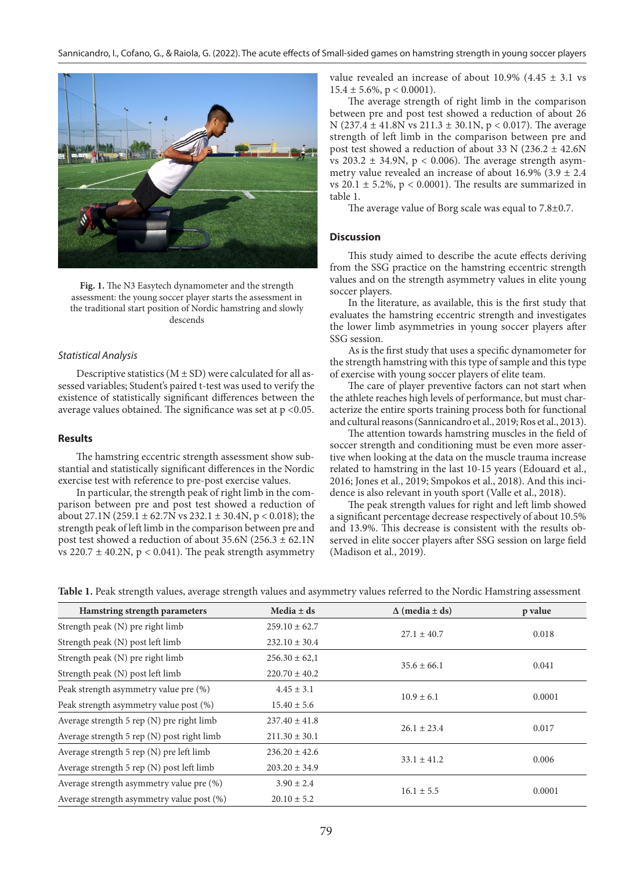

**Fig. 1.** The N3 Easytech dynamometer and the strength assessment: the young soccer player starts the assessment in the traditional start position of Nordic hamstring and slowly descends

## *Statistical Analysis*

Descriptive statistics  $(M \pm SD)$  were calculated for all assessed variables; Student's paired t-test was used to verify the existence of statistically significant differences between the average values obtained. The significance was set at p <0.05.

### **Results**

The hamstring eccentric strength assessment show substantial and statistically significant differences in the Nordic exercise test with reference to pre-post exercise values.

In particular, the strength peak of right limb in the comparison between pre and post test showed a reduction of about 27.1N (259.1  $\pm$  62.7N vs 232.1  $\pm$  30.4N, p < 0.018); the strength peak of left limb in the comparison between pre and post test showed a reduction of about  $35.6N$  ( $256.3 \pm 62.1N$ vs  $220.7 \pm 40.2$ N, p < 0.041). The peak strength asymmetry

value revealed an increase of about 10.9% (4.45  $\pm$  3.1 vs  $15.4 \pm 5.6\%$ , p < 0.0001).

The average strength of right limb in the comparison between pre and post test showed a reduction of about 26 N (237.4 ± 41.8N vs 211.3 ± 30.1N, p < 0.017). The average strength of left limb in the comparison between pre and post test showed a reduction of about 33 N (236.2  $\pm$  42.6N vs  $203.2 \pm 34.9$ N, p < 0.006). The average strength asymmetry value revealed an increase of about 16.9% (3.9  $\pm$  2.4 vs 20.1  $\pm$  5.2%, p < 0.0001). The results are summarized in table 1.

The average value of Borg scale was equal to 7.8±0.7.

#### **Discussion**

This study aimed to describe the acute effects deriving from the SSG practice on the hamstring eccentric strength values and on the strength asymmetry values in elite young soccer players.

In the literature, as available, this is the first study that evaluates the hamstring eccentric strength and investigates the lower limb asymmetries in young soccer players after SSG session.

As is the first study that uses a specific dynamometer for the strength hamstring with this type of sample and this type of exercise with young soccer players of elite team.

The care of player preventive factors can not start when the athlete reaches high levels of performance, but must characterize the entire sports training process both for functional and cultural reasons (Sannicandro et al., 2019; Ros et al., 2013).

The attention towards hamstring muscles in the field of soccer strength and conditioning must be even more assertive when looking at the data on the muscle trauma increase related to hamstring in the last 10-15 years (Edouard et al., 2016; Jones et al., 2019; Smpokos et al., 2018). And this incidence is also relevant in youth sport (Valle et al., 2018).

The peak strength values for right and left limb showed a significant percentage decrease respectively of about 10.5% and 13.9%. This decrease is consistent with the results observed in elite soccer players after SSG session on large field (Madison et al., 2019).

| Hamstring strength parameters               | Media $\pm$ ds    | $\Delta$ (media $\pm$ ds) | p value |
|---------------------------------------------|-------------------|---------------------------|---------|
| Strength peak (N) pre right limb            | $259.10 \pm 62.7$ | $27.1 \pm 40.7$           | 0.018   |
| Strength peak (N) post left limb            | $232.10 \pm 30.4$ |                           |         |
| Strength peak (N) pre right limb            | $256.30 \pm 62.1$ | $35.6 \pm 66.1$           | 0.041   |
| Strength peak (N) post left limb            | $220.70 \pm 40.2$ |                           |         |
| Peak strength asymmetry value pre (%)       | $4.45 \pm 3.1$    | $10.9 \pm 6.1$            | 0.0001  |
| Peak strength asymmetry value post (%)      | $15.40 \pm 5.6$   |                           |         |
| Average strength $5$ rep (N) pre right limb | $237.40 \pm 41.8$ | $26.1 \pm 23.4$           | 0.017   |
| Average strength 5 rep (N) post right limb  | $211.30 \pm 30.1$ |                           |         |
| Average strength 5 rep (N) pre left limb    | $236.20 \pm 42.6$ | $33.1 \pm 41.2$           | 0.006   |
| Average strength 5 rep (N) post left limb   | $203.20 \pm 34.9$ |                           |         |
| Average strength asymmetry value pre (%)    | $3.90 \pm 2.4$    | $16.1 \pm 5.5$            | 0.0001  |
| Average strength asymmetry value post (%)   | $20.10 \pm 5.2$   |                           |         |

**Table 1.** Peak strength values, average strength values and asymmetry values referred to the Nordic Hamstring assessment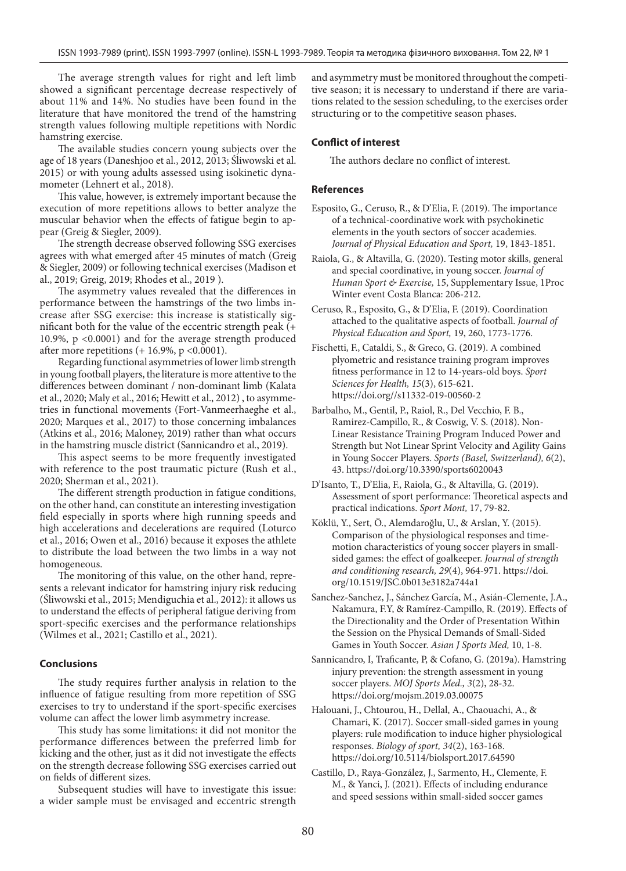The average strength values for right and left limb showed a significant percentage decrease respectively of about 11% and 14%. No studies have been found in the literature that have monitored the trend of the hamstring strength values following multiple repetitions with Nordic hamstring exercise.

The available studies concern young subjects over the age of 18 years (Daneshjoo et al., 2012, 2013; Śliwowski et al. 2015) or with young adults assessed using isokinetic dynamometer (Lehnert et al., 2018).

This value, however, is extremely important because the execution of more repetitions allows to better analyze the muscular behavior when the effects of fatigue begin to appear (Greig & Siegler, 2009).

The strength decrease observed following SSG exercises agrees with what emerged after 45 minutes of match (Greig & Siegler, 2009) or following technical exercises (Madison et al., 2019; Greig, 2019; Rhodes et al., 2019 ).

The asymmetry values revealed that the differences in performance between the hamstrings of the two limbs increase after SSG exercise: this increase is statistically significant both for the value of the eccentric strength peak (+ 10.9%, p <0.0001) and for the average strength produced after more repetitions  $(+16.9\%, p < 0.0001)$ .

Regarding functional asymmetries of lower limb strength in young football players, the literature is more attentive to the differences between dominant / non-dominant limb (Kalata et al., 2020; Maly et al., 2016; Hewitt et al., 2012) , to asymmetries in functional movements (Fort-Vanmeerhaeghe et al., 2020; Marques et al., 2017) to those concerning imbalances (Atkins et al., 2016; Maloney, 2019) rather than what occurs in the hamstring muscle district (Sannicandro et al., 2019).

This aspect seems to be more frequently investigated with reference to the post traumatic picture (Rush et al., 2020; Sherman et al., 2021).

The different strength production in fatigue conditions, on the other hand, can constitute an interesting investigation field especially in sports where high running speeds and high accelerations and decelerations are required (Loturco et al., 2016; Owen et al., 2016) because it exposes the athlete to distribute the load between the two limbs in a way not homogeneous.

The monitoring of this value, on the other hand, represents a relevant indicator for hamstring injury risk reducing (Śliwowski et al., 2015; Mendiguchia et al., 2012): it allows us to understand the effects of peripheral fatigue deriving from sport-specific exercises and the performance relationships (Wilmes et al., 2021; Castillo et al., 2021).

### **Conclusions**

The study requires further analysis in relation to the influence of fatigue resulting from more repetition of SSG exercises to try to understand if the sport-specific exercises volume can affect the lower limb asymmetry increase.

This study has some limitations: it did not monitor the performance differences between the preferred limb for kicking and the other, just as it did not investigate the effects on the strength decrease following SSG exercises carried out on fields of different sizes.

Subsequent studies will have to investigate this issue: a wider sample must be envisaged and eccentric strength and asymmetry must be monitored throughout the competitive season; it is necessary to understand if there are variations related to the session scheduling, to the exercises order structuring or to the competitive season phases.

## **Conflict of interest**

The authors declare no conflict of interest.

## **References**

- Esposito, G., Ceruso, R., & D'Elia, F. (2019). The importance of a technical-coordinative work with psychokinetic elements in the youth sectors of soccer academies. *Journal of Physical Education and Sport,* 19, 1843-1851.
- Raiola, G., & Altavilla, G. (2020). Testing motor skills, general and special coordinative, in young soccer. *Journal of Human Sport & Exercise,* 15, Supplementary Issue, 1Proc Winter event Costa Blanca: 206-212.
- Ceruso, R., Esposito, G., & D'Elia, F. (2019). Coordination attached to the qualitative aspects of football. *Journal of Physical Education and Sport,* 19, 260, 1773-1776.
- Fischetti, F., Cataldi, S., & Greco, G. (2019). A combined plyometric and resistance training program improves fitness performance in 12 to 14-years-old boys. *Sport Sciences for Health, 15*(3), 615-621. https://doi.org//s11332-019-00560-2
- Barbalho, M., Gentil, P., Raiol, R., Del Vecchio, F. B., Ramirez-Campillo, R., & Coswig, V. S. (2018). Non-Linear Resistance Training Program Induced Power and Strength but Not Linear Sprint Velocity and Agility Gains in Young Soccer Players. *Sports (Basel, Switzerland), 6*(2), 43. https://doi.org/10.3390/sports6020043
- D'Isanto, T., D'Elia, F., Raiola, G., & Altavilla, G. (2019). Assessment of sport performance: Theoretical aspects and practical indications. *Sport Mont,* 17, 79-82.
- Köklü, Y., Sert, Ö., Alemdaroğlu, U., & Arslan, Y. (2015). Comparison of the physiological responses and timemotion characteristics of young soccer players in smallsided games: the effect of goalkeeper. *Journal of strength and conditioning research, 29*(4), 964-971. https://doi. org/10.1519/JSC.0b013e3182a744a1
- Sanchez-Sanchez, J., Sánchez García, M., Asián-Clemente, J.A., Nakamura, F.Y, & Ramírez-Campillo, R. (2019). Effects of the Directionality and the Order of Presentation Within the Session on the Physical Demands of Small-Sided Games in Youth Soccer. *Asian J Sports Med,* 10, 1-8.

Sannicandro, I, Traficante, P, & Cofano, G. (2019a). Hamstring injury prevention: the strength assessment in young soccer players. *MOJ Sports Med., 3*(2), 28-32. https://doi.org/mojsm.2019.03.00075

Halouani, J., Chtourou, H., Dellal, A., Chaouachi, A., & Chamari, K. (2017). Soccer small-sided games in young players: rule modification to induce higher physiological responses. *Biology of sport, 34*(2), 163-168. https://doi.org/10.5114/biolsport.2017.64590

Castillo, D., Raya-González, J., Sarmento, H., Clemente, F. M., & Yanci, J. (2021). Effects of including endurance and speed sessions within small-sided soccer games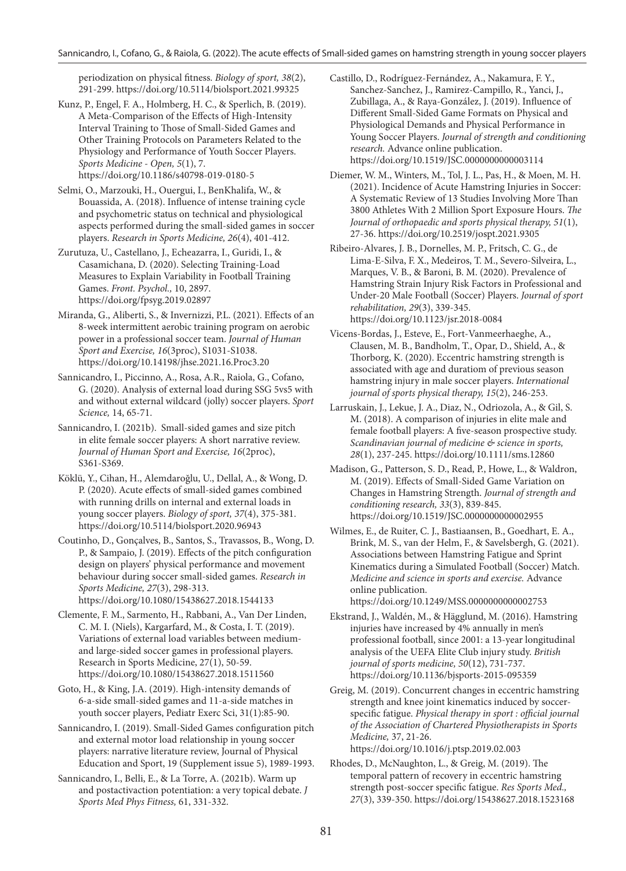periodization on physical fitness. *Biology of sport, 38*(2), 291-299. https://doi.org/10.5114/biolsport.2021.99325

Kunz, P., Engel, F. A., Holmberg, H. C., & Sperlich, B. (2019). A Meta-Comparison of the Effects of High-Intensity Interval Training to Those of Small-Sided Games and Other Training Protocols on Parameters Related to the Physiology and Performance of Youth Soccer Players. *Sports Medicine - Open, 5*(1), 7. https://doi.org/10.1186/s40798-019-0180-5

Selmi, O., Marzouki, H., Ouergui, I., BenKhalifa, W., & Bouassida, A. (2018). Influence of intense training cycle and psychometric status on technical and physiological aspects performed during the small-sided games in soccer players. *Research in Sports Medicine, 26*(4), 401-412.

Zurutuza, U., Castellano, J., Echeazarra, I., Guridi, I., & Casamichana, D. (2020). Selecting Training-Load Measures to Explain Variability in Football Training Games. *Front. Psychol.,* 10, 2897. https://doi.org/fpsyg.2019.02897

Miranda, G., Aliberti, S., & Invernizzi, P.L. (2021). Effects of an 8-week intermittent aerobic training program on aerobic power in a professional soccer team. *Journal of Human Sport and Exercise, 16*(3proc), S1031-S1038. https://doi.org/10.14198/jhse.2021.16.Proc3.20

Sannicandro, I., Piccinno, A., Rosa, A.R., Raiola, G., Cofano, G. (2020). Analysis of external load during SSG 5vs5 with and without external wildcard (jolly) soccer players. *Sport Science,* 14, 65-71.

Sannicandro, I. (2021b). Small-sided games and size pitch in elite female soccer players: A short narrative review. *Journal of Human Sport and Exercise, 16*(2proc), S361-S369.

Köklü, Y., Cihan, H., Alemdaroğlu, U., Dellal, A., & Wong, D. P. (2020). Acute effects of small-sided games combined with running drills on internal and external loads in young soccer players. *Biology of sport, 37*(4), 375-381. https://doi.org/10.5114/biolsport.2020.96943

Coutinho, D., Gonçalves, B., Santos, S., Travassos, B., Wong, D. P., & Sampaio, J. (2019). Effects of the pitch configuration design on players' physical performance and movement behaviour during soccer small-sided games. *Research in Sports Medicine, 27*(3), 298-313. https://doi.org/10.1080/15438627.2018.1544133

Clemente, F. M., Sarmento, H., Rabbani, A., Van Der Linden, C. M. I. (Niels), Kargarfard, M., & Costa, I. T. (2019). Variations of external load variables between mediumand large-sided soccer games in professional players. Research in Sports Medicine, 27(1), 50-59. https://doi.org/10.1080/15438627.2018.1511560

Goto, H., & King, J.A. (2019). High-intensity demands of 6-a-side small-sided games and 11-a-side matches in youth soccer players, Pediatr Exerc Sci, 31(1):85-90.

Sannicandro, I. (2019). Small-Sided Games configuration pitch and external motor load relationship in young soccer players: narrative literature review, Journal of Physical Education and Sport, 19 (Supplement issue 5), 1989-1993.

Sannicandro, I., Belli, E., & La Torre, A. (2021b). Warm up and postactivaction potentiation: a very topical debate. *J Sports Med Phys Fitness,* 61, 331-332.

Castillo, D., Rodríguez-Fernández, A., Nakamura, F. Y., Sanchez-Sanchez, J., Ramirez-Campillo, R., Yanci, J., Zubillaga, A., & Raya-González, J. (2019). Influence of Different Small-Sided Game Formats on Physical and Physiological Demands and Physical Performance in Young Soccer Players. *Journal of strength and conditioning research.* Advance online publication. https://doi.org/10.1519/JSC.0000000000003114

Diemer, W. M., Winters, M., Tol, J. L., Pas, H., & Moen, M. H. (2021). Incidence of Acute Hamstring Injuries in Soccer: A Systematic Review of 13 Studies Involving More Than 3800 Athletes With 2 Million Sport Exposure Hours. *The Journal of orthopaedic and sports physical therapy, 51*(1), 27-36. https://doi.org/10.2519/jospt.2021.9305

Ribeiro-Alvares, J. B., Dornelles, M. P., Fritsch, C. G., de Lima-E-Silva, F. X., Medeiros, T. M., Severo-Silveira, L., Marques, V. B., & Baroni, B. M. (2020). Prevalence of Hamstring Strain Injury Risk Factors in Professional and Under-20 Male Football (Soccer) Players. *Journal of sport rehabilitation, 29*(3), 339-345. https://doi.org/10.1123/jsr.2018-0084

Vicens-Bordas, J., Esteve, E., Fort-Vanmeerhaeghe, A., Clausen, M. B., Bandholm, T., Opar, D., Shield, A., & Thorborg, K. (2020). Eccentric hamstring strength is associated with age and duratiom of previous season hamstring injury in male soccer players. *International journal of sports physical therapy, 15*(2), 246-253.

Larruskain, J., Lekue, J. A., Diaz, N., Odriozola, A., & Gil, S. M. (2018). A comparison of injuries in elite male and female football players: A five-season prospective study. *Scandinavian journal of medicine & science in sports, 28*(1), 237-245. https://doi.org/10.1111/sms.12860

Madison, G., Patterson, S. D., Read, P., Howe, L., & Waldron, M. (2019). Effects of Small-Sided Game Variation on Changes in Hamstring Strength. *Journal of strength and conditioning research, 33*(3), 839-845. https://doi.org/10.1519/JSC.0000000000002955

Wilmes, E., de Ruiter, C. J., Bastiaansen, B., Goedhart, E. A., Brink, M. S., van der Helm, F., & Savelsbergh, G. (2021). Associations between Hamstring Fatigue and Sprint Kinematics during a Simulated Football (Soccer) Match. *Medicine and science in sports and exercise.* Advance online publication.

https://doi.org/10.1249/MSS.0000000000002753

Ekstrand, J., Waldén, M., & Hägglund, M. (2016). Hamstring injuries have increased by 4% annually in men's professional football, since 2001: a 13-year longitudinal analysis of the UEFA Elite Club injury study. *British journal of sports medicine, 50*(12), 731-737. https://doi.org/10.1136/bjsports-2015-095359

Greig, M. (2019). Concurrent changes in eccentric hamstring strength and knee joint kinematics induced by soccerspecific fatigue. *Physical therapy in sport : official journal of the Association of Chartered Physiotherapists in Sports Medicine,* 37, 21-26. https://doi.org/10.1016/j.ptsp.2019.02.003

Rhodes, D., McNaughton, L., & Greig, M. (2019). The temporal pattern of recovery in eccentric hamstring strength post-soccer specific fatigue. *Res Sports Med., 27*(3), 339-350. https://doi.org/15438627.2018.1523168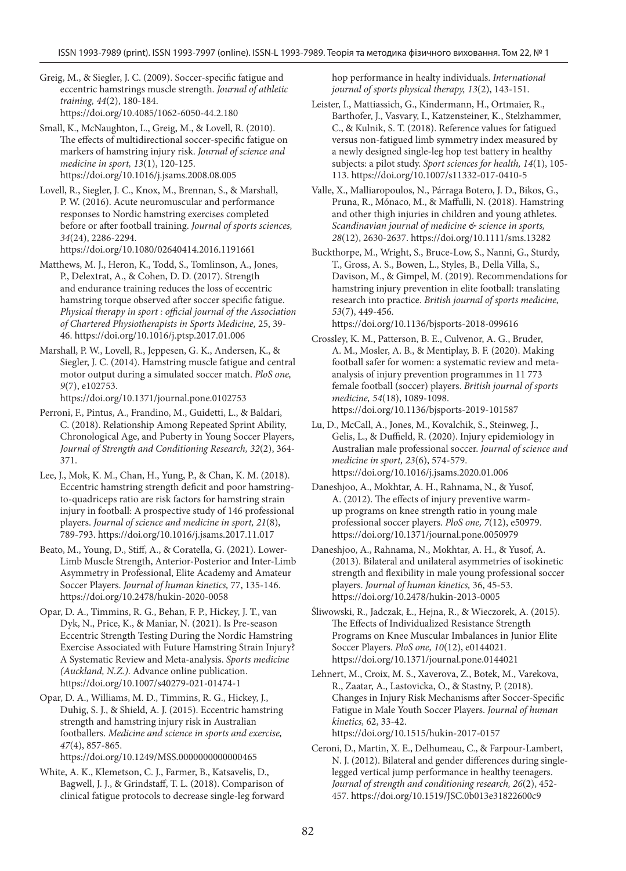Greig, M., & Siegler, J. C. (2009). Soccer-specific fatigue and eccentric hamstrings muscle strength. *Journal of athletic training, 44*(2), 180-184. https://doi.org/10.4085/1062-6050-44.2.180

Small, K., McNaughton, L., Greig, M., & Lovell, R. (2010). The effects of multidirectional soccer-specific fatigue on markers of hamstring injury risk. *Journal of science and medicine in sport, 13*(1), 120-125. https://doi.org/10.1016/j.jsams.2008.08.005

Lovell, R., Siegler, J. C., Knox, M., Brennan, S., & Marshall, P. W. (2016). Acute neuromuscular and performance responses to Nordic hamstring exercises completed before or after football training. *Journal of sports sciences, 34*(24), 2286-2294. https://doi.org/10.1080/02640414.2016.1191661

Matthews, M. J., Heron, K., Todd, S., Tomlinson, A., Jones, P., Delextrat, A., & Cohen, D. D. (2017). Strength and endurance training reduces the loss of eccentric hamstring torque observed after soccer specific fatigue. *Physical therapy in sport : official journal of the Association of Chartered Physiotherapists in Sports Medicine,* 25, 39- 46. https://doi.org/10.1016/j.ptsp.2017.01.006

Marshall, P. W., Lovell, R., Jeppesen, G. K., Andersen, K., & Siegler, J. C. (2014). Hamstring muscle fatigue and central motor output during a simulated soccer match. *PloS one, 9*(7), e102753.

https://doi.org/10.1371/journal.pone.0102753

Perroni, F., Pintus, A., Frandino, M., Guidetti, L., & Baldari, C. (2018). Relationship Among Repeated Sprint Ability, Chronological Age, and Puberty in Young Soccer Players, *Journal of Strength and Conditioning Research, 32*(2), 364- 371.

Lee, J., Mok, K. M., Chan, H., Yung, P., & Chan, K. M. (2018). Eccentric hamstring strength deficit and poor hamstringto-quadriceps ratio are risk factors for hamstring strain injury in football: A prospective study of 146 professional players. *Journal of science and medicine in sport, 21*(8), 789-793. https://doi.org/10.1016/j.jsams.2017.11.017

Beato, M., Young, D., Stiff, A., & Coratella, G. (2021). Lower-Limb Muscle Strength, Anterior-Posterior and Inter-Limb Asymmetry in Professional, Elite Academy and Amateur Soccer Players. *Journal of human kinetics,* 77, 135-146. https://doi.org/10.2478/hukin-2020-0058

Opar, D. A., Timmins, R. G., Behan, F. P., Hickey, J. T., van Dyk, N., Price, K., & Maniar, N. (2021). Is Pre-season Eccentric Strength Testing During the Nordic Hamstring Exercise Associated with Future Hamstring Strain Injury? A Systematic Review and Meta-analysis. *Sports medicine (Auckland, N.Z.)*. Advance online publication. https://doi.org/10.1007/s40279-021-01474-1

Opar, D. A., Williams, M. D., Timmins, R. G., Hickey, J., Duhig, S. J., & Shield, A. J. (2015). Eccentric hamstring strength and hamstring injury risk in Australian footballers. *Medicine and science in sports and exercise, 47*(4), 857-865. https://doi.org/10.1249/MSS.0000000000000465

White, A. K., Klemetson, C. J., Farmer, B., Katsavelis, D., Bagwell, J. J., & Grindstaff, T. L. (2018). Comparison of clinical fatigue protocols to decrease single-leg forward

hop performance in healty individuals. *International journal of sports physical therapy, 13*(2), 143-151.

Leister, I., Mattiassich, G., Kindermann, H., Ortmaier, R., Barthofer, J., Vasvary, I., Katzensteiner, K., Stelzhammer, C., & Kulnik, S. T. (2018). Reference values for fatigued versus non-fatigued limb symmetry index measured by a newly designed single-leg hop test battery in healthy subjects: a pilot study. *Sport sciences for health, 14*(1), 105- 113. https://doi.org/10.1007/s11332-017-0410-5

Valle, X., Malliaropoulos, N., Párraga Botero, J. D., Bikos, G., Pruna, R., Mónaco, M., & Maffulli, N. (2018). Hamstring and other thigh injuries in children and young athletes. *Scandinavian journal of medicine & science in sports, 28*(12), 2630-2637. https://doi.org/10.1111/sms.13282

Buckthorpe, M., Wright, S., Bruce-Low, S., Nanni, G., Sturdy, T., Gross, A. S., Bowen, L., Styles, B., Della Villa, S., Davison, M., & Gimpel, M. (2019). Recommendations for hamstring injury prevention in elite football: translating research into practice. *British journal of sports medicine, 53*(7), 449-456. https://doi.org/10.1136/bjsports-2018-099616

Crossley, K. M., Patterson, B. E., Culvenor, A. G., Bruder, A. M., Mosler, A. B., & Mentiplay, B. F. (2020). Making football safer for women: a systematic review and metaanalysis of injury prevention programmes in 11 773 female football (soccer) players. *British journal of sports medicine, 54*(18), 1089-1098. https://doi.org/10.1136/bjsports-2019-101587

Lu, D., McCall, A., Jones, M., Kovalchik, S., Steinweg, J., Gelis, L., & Duffield, R. (2020). Injury epidemiology in Australian male professional soccer. *Journal of science and medicine in sport, 23*(6), 574-579. https://doi.org/10.1016/j.jsams.2020.01.006

Daneshjoo, A., Mokhtar, A. H., Rahnama, N., & Yusof, A. (2012). The effects of injury preventive warmup programs on knee strength ratio in young male professional soccer players. *PloS one, 7*(12), e50979. https://doi.org/10.1371/journal.pone.0050979

Daneshjoo, A., Rahnama, N., Mokhtar, A. H., & Yusof, A. (2013). Bilateral and unilateral asymmetries of isokinetic strength and flexibility in male young professional soccer players. *Journal of human kinetics,* 36, 45-53. https://doi.org/10.2478/hukin-2013-0005

Śliwowski, R., Jadczak, Ł., Hejna, R., & Wieczorek, A. (2015). The Effects of Individualized Resistance Strength Programs on Knee Muscular Imbalances in Junior Elite Soccer Players. *PloS one, 10*(12), e0144021. https://doi.org/10.1371/journal.pone.0144021

Lehnert, M., Croix, M. S., Xaverova, Z., Botek, M., Varekova, R., Zaatar, A., Lastovicka, O., & Stastny, P. (2018). Changes in Injury Risk Mechanisms after Soccer-Specific Fatigue in Male Youth Soccer Players. *Journal of human kinetics,* 62, 33-42. https://doi.org/10.1515/hukin-2017-0157

Ceroni, D., Martin, X. E., Delhumeau, C., & Farpour-Lambert, N. J. (2012). Bilateral and gender differences during singlelegged vertical jump performance in healthy teenagers. *Journal of strength and conditioning research, 26*(2), 452- 457. https://doi.org/10.1519/JSC.0b013e31822600c9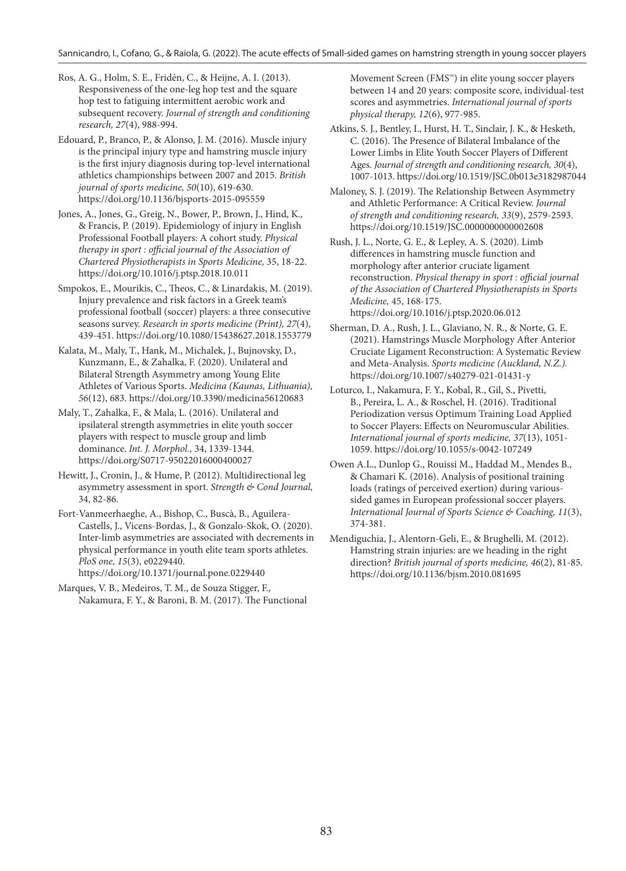Sannicandro, I., Cofano, G., & Raiola, G. (2022). The acute effects of Small-sided games on hamstring strength in young soccer players

Ros, A. G., Holm, S. E., Fridén, C., & Heijne, A. I. (2013). Responsiveness of the one-leg hop test and the square hop test to fatiguing intermittent aerobic work and subsequent recovery. *Journal of strength and conditioning research, 27*(4), 988-994.

Edouard, P., Branco, P., & Alonso, J. M. (2016). Muscle injury is the principal injury type and hamstring muscle injury is the first injury diagnosis during top-level international athletics championships between 2007 and 2015. *British journal of sports medicine, 50*(10), 619-630. https://doi.org/10.1136/bjsports-2015-095559

Jones, A., Jones, G., Greig, N., Bower, P., Brown, J., Hind, K., & Francis, P. (2019). Epidemiology of injury in English Professional Football players: A cohort study. *Physical therapy in sport : official journal of the Association of Chartered Physiotherapists in Sports Medicine,* 35, 18-22. https://doi.org/10.1016/j.ptsp.2018.10.011

Smpokos, E., Mourikis, C., Theos, C., & Linardakis, M. (2019). Injury prevalence and risk factors in a Greek team's professional football (soccer) players: a three consecutive seasons survey. *Research in sports medicine (Print), 27*(4), 439-451. https://doi.org/10.1080/15438627.2018.1553779

Kalata, M., Maly, T., Hank, M., Michalek, J., Bujnovsky, D., Kunzmann, E., & Zahalka, F. (2020). Unilateral and Bilateral Strength Asymmetry among Young Elite Athletes of Various Sports. *Medicina (Kaunas, Lithuania), 56*(12), 683. https://doi.org/10.3390/medicina56120683

Maly, T., Zahalka, F., & Mala, L. (2016). Unilateral and ipsilateral strength asymmetries in elite youth soccer players with respect to muscle group and limb dominance. *Int. J. Morphol.,* 34, 1339-1344. https://doi.org/S0717-95022016000400027

Hewitt, J., Cronin, J., & Hume, P. (2012). Multidirectional leg asymmetry assessment in sport. *Strength & Cond Journal,* 34, 82-86.

Fort-Vanmeerhaeghe, A., Bishop, C., Buscà, B., Aguilera-Castells, J., Vicens-Bordas, J., & Gonzalo-Skok, O. (2020). Inter-limb asymmetries are associated with decrements in physical performance in youth elite team sports athletes. *PloS one, 15*(3), e0229440. https://doi.org/10.1371/journal.pone.0229440

Marques, V. B., Medeiros, T. M., de Souza Stigger, F., Nakamura, F. Y., & Baroni, B. M. (2017). The Functional

Movement Screen (FMS™) in elite young soccer players between 14 and 20 years: composite score, individual-test scores and asymmetries. *International journal of sports physical therapy, 12*(6), 977-985.

Atkins, S. J., Bentley, I., Hurst, H. T., Sinclair, J. K., & Hesketh, C. (2016). The Presence of Bilateral Imbalance of the Lower Limbs in Elite Youth Soccer Players of Different Ages. *Journal of strength and conditioning research, 30*(4), 1007-1013. https://doi.org/10.1519/JSC.0b013e3182987044

Maloney, S. J. (2019). The Relationship Between Asymmetry and Athletic Performance: A Critical Review. *Journal of strength and conditioning research, 33*(9), 2579-2593. https://doi.org/10.1519/JSC.0000000000002608

Rush, J. L., Norte, G. E., & Lepley, A. S. (2020). Limb differences in hamstring muscle function and morphology after anterior cruciate ligament reconstruction. *Physical therapy in sport : official journal of the Association of Chartered Physiotherapists in Sports Medicine,* 45, 168-175. https://doi.org/10.1016/j.ptsp.2020.06.012

Sherman, D. A., Rush, J. L., Glaviano, N. R., & Norte, G. E. (2021). Hamstrings Muscle Morphology After Anterior Cruciate Ligament Reconstruction: A Systematic Review and Meta-Analysis. *Sports medicine (Auckland, N.Z.).* https://doi.org/10.1007/s40279-021-01431-y

Loturco, I., Nakamura, F. Y., Kobal, R., Gil, S., Pivetti, B., Pereira, L. A., & Roschel, H. (2016). Traditional Periodization versus Optimum Training Load Applied to Soccer Players: Effects on Neuromuscular Abilities. *International journal of sports medicine, 37*(13), 1051- 1059. https://doi.org/10.1055/s-0042-107249

Owen A.L., Dunlop G., Rouissi M., Haddad M., Mendes B., & Chamari K. (2016). Analysis of positional training loads (ratings of perceived exertion) during varioussided games in European professional soccer players. *International Journal of Sports Science & Coaching, 11*(3), 374-381.

Mendiguchia, J., Alentorn-Geli, E., & Brughelli, M. (2012). Hamstring strain injuries: are we heading in the right direction? *British journal of sports medicine, 46*(2), 81-85. https://doi.org/10.1136/bjsm.2010.081695